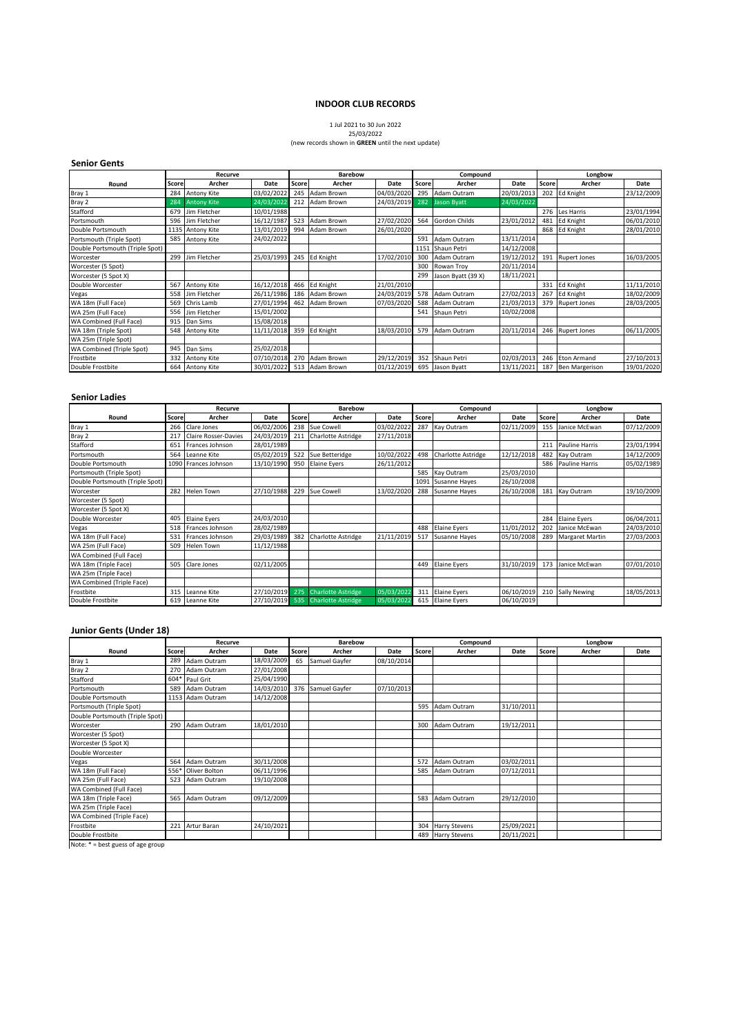### **INDOOR CLUB RECORDS**

# 1 Jul 2021 to 30 Jun 2022 25/03/2022

### (new records shown in **GREEN** until the next update)

### **Senior Gents**

|                                 | Recurve |                    |            | <b>Barebow</b> |                  | Compound   |       |                      | Longbow    |       |                       |            |
|---------------------------------|---------|--------------------|------------|----------------|------------------|------------|-------|----------------------|------------|-------|-----------------------|------------|
| Round                           | Score   | Archer             | Date       | Score          | Archer           | Date       | Score | Archer               | Date       | Score | Archer                | Date       |
| Bray 1                          | 284     | Antony Kite        | 03/02/2022 | 245            | Adam Brown       | 04/03/2020 | 295   | Adam Outram          | 20/03/2013 |       | 202 Ed Knight         | 23/12/2009 |
| Bray 2                          | 284     | <b>Antony Kite</b> | 24/03/2022 | 212            | Adam Brown       | 24/03/2019 | 282   | <b>Jason Byatt</b>   | 24/03/2022 |       |                       |            |
| Stafford                        | 679     | Jim Fletcher       | 10/01/1988 |                |                  |            |       |                      |            | 276   | Les Harris            | 23/01/1994 |
| Portsmouth                      | 596     | Jim Fletcher       | 16/12/1987 | 523            | Adam Brown       | 27/02/2020 | 564   | <b>Gordon Childs</b> | 23/01/2012 | 481   | <b>Ed Knight</b>      | 06/01/2010 |
| Double Portsmouth               |         | 1135 Antony Kite   | 13/01/2019 | 994            | Adam Brown       | 26/01/2020 |       |                      |            | 868   | Ed Knight             | 28/01/2010 |
| Portsmouth (Triple Spot)        | 585     | Antony Kite        | 24/02/2022 |                |                  |            | 591   | Adam Outram          | 13/11/2014 |       |                       |            |
| Double Portsmouth (Triple Spot) |         |                    |            |                |                  |            | 1151  | Shaun Petri          | 14/12/2008 |       |                       |            |
| Worcester                       | 299     | Jim Fletcher       | 25/03/1993 |                | 245 Ed Knight    | 17/02/2010 | 300   | Adam Outram          | 19/12/2012 | 191   | <b>Rupert Jones</b>   | 16/03/2005 |
| Worcester (5 Spot)              |         |                    |            |                |                  |            | 300   | Rowan Troy           | 20/11/2014 |       |                       |            |
| Worcester (5 Spot X)            |         |                    |            |                |                  |            | 299   | Jason Byatt (39 X)   | 18/11/2021 |       |                       |            |
| Double Worcester                | 567     | Antony Kite        | 16/12/2018 | 466            | <b>Ed Knight</b> | 21/01/2010 |       |                      |            | 331   | <b>Ed Knight</b>      | 11/11/2010 |
| Vegas                           | 558     | Jim Fletcher       | 26/11/1986 | 186            | Adam Brown       | 24/03/2019 | 578   | Adam Outram          | 27/02/2013 | 267   | <b>Ed Knight</b>      | 18/02/2009 |
| WA 18m (Full Face)              | 569     | Chris Lamb         | 27/01/1994 |                | 462 Adam Brown   | 07/03/2020 | 588   | Adam Outram          | 21/03/2013 | 379   | <b>Rupert Jones</b>   | 28/03/2005 |
| WA 25m (Full Face)              | 556     | Jim Fletcher       | 15/01/2002 |                |                  |            | 541   | Shaun Petri          | 10/02/2008 |       |                       |            |
| WA Combined (Full Face)         | 915     | Dan Sims           | 15/08/2018 |                |                  |            |       |                      |            |       |                       |            |
| WA 18m (Triple Spot)            | 548     | <b>Antony Kite</b> | 11/11/2018 |                | 359 Ed Knight    | 18/03/2010 | 579   | Adam Outram          | 20/11/2014 |       | 246 Rupert Jones      | 06/11/2005 |
| WA 25m (Triple Spot)            |         |                    |            |                |                  |            |       |                      |            |       |                       |            |
| WA Combined (Triple Spot)       | 945     | Dan Sims           | 25/02/2018 |                |                  |            |       |                      |            |       |                       |            |
| Frostbite                       | 332     | <b>Antony Kite</b> | 07/10/2018 |                | 270 Adam Brown   | 29/12/2019 | 352   | Shaun Petri          | 02/03/2013 | 246   | <b>Eton Armand</b>    | 27/10/2013 |
| Double Frostbite                | 664     | <b>Antony Kite</b> | 30/01/2022 |                | 513 Adam Brown   | 01/12/2019 | 695   | Jason Byatt          | 13/11/2021 | 187   | <b>Ben Margerison</b> | 19/01/2020 |

### **Senior Ladies**

|                                 | Recurve |                             |            |              | Barebow                           |            | Compound |                           |            | Longbow |                     |            |
|---------------------------------|---------|-----------------------------|------------|--------------|-----------------------------------|------------|----------|---------------------------|------------|---------|---------------------|------------|
| Round                           | Score   | Archer                      | Date       | <b>Score</b> | Archer                            | Date       | Score    | Archer                    | Date       | Score   | Archer              | Date       |
| Bray 1                          | 266     | Clare Jones                 | 06/02/2006 | 238          | Sue Cowell                        | 03/02/2022 | 287      | Kay Outram                | 02/11/2009 | 155     | Janice McEwan       | 07/12/2009 |
| Bray 2                          | 217     | <b>Claire Rosser-Davies</b> | 24/03/2019 | 211          | <b>Charlotte Astridge</b>         | 27/11/2018 |          |                           |            |         |                     |            |
| Stafford                        | 651     | Frances Johnson             | 28/01/1989 |              |                                   |            |          |                           |            | 211     | Pauline Harris      | 23/01/1994 |
| Portsmouth                      | 564     | Leanne Kite                 | 05/02/2019 | 522          | Sue Betteridge                    | 10/02/2022 | 498      | <b>Charlotte Astridge</b> | 12/12/2018 | 482     | Kay Outram          | 14/12/2009 |
| Double Portsmouth               |         | 1090 Frances Johnson        | 13/10/1990 | 950          | <b>Elaine Eyers</b>               | 26/11/2012 |          |                           |            | 586     | Pauline Harris      | 05/02/1989 |
| Portsmouth (Triple Spot)        |         |                             |            |              |                                   |            | 585      | Kay Outram                | 25/03/2010 |         |                     |            |
| Double Portsmouth (Triple Spot) |         |                             |            |              |                                   |            | 1091     | Susanne Hayes             | 26/10/2008 |         |                     |            |
| Worcester                       | 282     | Helen Town                  | 27/10/1988 | 229          | Sue Cowell                        | 13/02/2020 | 288      | Susanne Hayes             | 26/10/2008 | 181     | Kay Outram          | 19/10/2009 |
| Worcester (5 Spot)              |         |                             |            |              |                                   |            |          |                           |            |         |                     |            |
| Worcester (5 Spot X)            |         |                             |            |              |                                   |            |          |                           |            |         |                     |            |
| Double Worcester                | 405     | <b>Elaine Eyers</b>         | 24/03/2010 |              |                                   |            |          |                           |            | 284     | <b>Elaine Eyers</b> | 06/04/2011 |
| Vegas                           | 518     | Frances Johnson             | 28/02/1989 |              |                                   |            | 488      | <b>Elaine Eyers</b>       | 11/01/2012 | 202     | Janice McEwan       | 24/03/2010 |
| WA 18m (Full Face)              | 531     | Frances Johnson             | 29/03/1989 | 382          | Charlotte Astridge                | 21/11/2019 | 517      | Susanne Hayes             | 05/10/2008 | 289     | Margaret Martin     | 27/03/2003 |
| WA 25m (Full Face)              | 509     | Helen Town                  | 11/12/1988 |              |                                   |            |          |                           |            |         |                     |            |
| WA Combined (Full Face)         |         |                             |            |              |                                   |            |          |                           |            |         |                     |            |
| WA 18m (Triple Face)            | 505     | Clare Jones                 | 02/11/2005 |              |                                   |            | 449      | <b>Elaine Eyers</b>       | 31/10/2019 | 173     | Janice McEwan       | 07/01/2010 |
| WA 25m (Triple Face)            |         |                             |            |              |                                   |            |          |                           |            |         |                     |            |
| WA Combined (Triple Face)       |         |                             |            |              |                                   |            |          |                           |            |         |                     |            |
| Frostbite                       | 315     | Leanne Kite                 | 27/10/2019 | 275          | <b>Charlotte Astridge</b>         | 05/03/2022 | 311      | <b>Elaine Eyers</b>       | 06/10/2019 | 210     | <b>Sally Newing</b> | 18/05/2013 |
| Double Frostbite                | 619     | Leanne Kite                 |            |              | 27/10/2019 535 Charlotte Astridge | 05/03/2022 |          | 615 Elaine Eyers          | 06/10/2019 |         |                     |            |

### **Junior Gents (Under 18)**

|                                 | Recurve |                  |            | <b>Barebow</b> |                   |            | Compound |                      |            | Longbow |        |      |
|---------------------------------|---------|------------------|------------|----------------|-------------------|------------|----------|----------------------|------------|---------|--------|------|
| Round                           | Score   | Archer           | Date       | Score          | Archer            | Date       | Score    | Archer               | Date       | Score   | Archer | Date |
| Bray 1                          | 289     | Adam Outram      | 18/03/2009 | 65             | Samuel Gayfer     | 08/10/2014 |          |                      |            |         |        |      |
| Bray 2                          |         | 270 Adam Outram  | 27/01/2008 |                |                   |            |          |                      |            |         |        |      |
| Stafford                        | 604*    | Paul Grit        | 25/04/1990 |                |                   |            |          |                      |            |         |        |      |
| Portsmouth                      | 589     | Adam Outram      | 14/03/2010 |                | 376 Samuel Gayfer | 07/10/2013 |          |                      |            |         |        |      |
| Double Portsmouth               |         | 1153 Adam Outram | 14/12/2008 |                |                   |            |          |                      |            |         |        |      |
| Portsmouth (Triple Spot)        |         |                  |            |                |                   |            |          | 595 Adam Outram      | 31/10/2011 |         |        |      |
| Double Portsmouth (Triple Spot) |         |                  |            |                |                   |            |          |                      |            |         |        |      |
| Worcester                       |         | 290 Adam Outram  | 18/01/2010 |                |                   |            | 300      | Adam Outram          | 19/12/2011 |         |        |      |
| Worcester (5 Spot)              |         |                  |            |                |                   |            |          |                      |            |         |        |      |
| Worcester (5 Spot X)            |         |                  |            |                |                   |            |          |                      |            |         |        |      |
| Double Worcester                |         |                  |            |                |                   |            |          |                      |            |         |        |      |
| Vegas                           | 564     | Adam Outram      | 30/11/2008 |                |                   |            | 572      | Adam Outram          | 03/02/2011 |         |        |      |
| WA 18m (Full Face)              | 556*    | Oliver Bolton    | 06/11/1996 |                |                   |            | 585      | Adam Outram          | 07/12/2011 |         |        |      |
| WA 25m (Full Face)              | 523     | Adam Outram      | 19/10/2008 |                |                   |            |          |                      |            |         |        |      |
| WA Combined (Full Face)         |         |                  |            |                |                   |            |          |                      |            |         |        |      |
| WA 18m (Triple Face)            | 565     | Adam Outram      | 09/12/2009 |                |                   |            |          | 583 Adam Outram      | 29/12/2010 |         |        |      |
| WA 25m (Triple Face)            |         |                  |            |                |                   |            |          |                      |            |         |        |      |
| WA Combined (Triple Face)       |         |                  |            |                |                   |            |          |                      |            |         |        |      |
| Frostbite                       | 221     | Artur Baran      | 24/10/2021 |                |                   |            | 304      | <b>Harry Stevens</b> | 25/09/2021 |         |        |      |
| Double Frostbite                |         |                  |            |                |                   |            |          | 489 Harry Stevens    | 20/11/2021 |         |        |      |

Note: \* = best guess of age group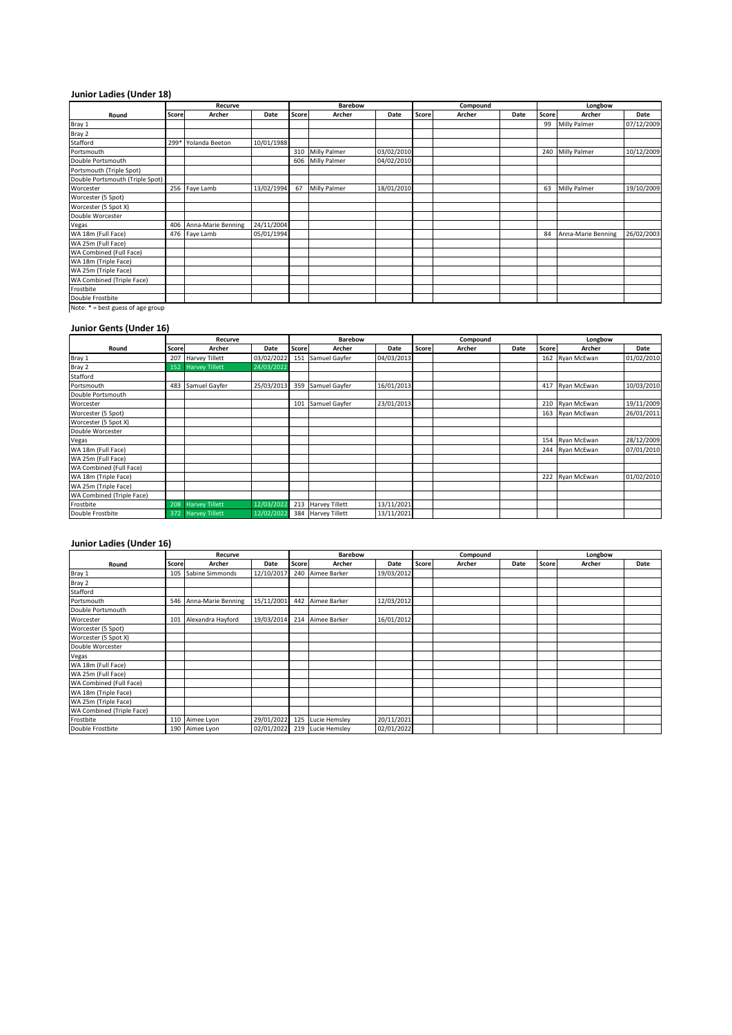# **Junior Ladies (Under 18)**

|                                   | Recurve |                    |            |       | Barebow          |            | Compound |        |      | Longbow |                     |            |
|-----------------------------------|---------|--------------------|------------|-------|------------------|------------|----------|--------|------|---------|---------------------|------------|
| Round                             | Score   | Archer             | Date       | Score | Archer           | Date       | Score    | Archer | Date | Score   | Archer              | Date       |
| Bray 1                            |         |                    |            |       |                  |            |          |        |      | 99      | <b>Milly Palmer</b> | 07/12/2009 |
| Bray 2                            |         |                    |            |       |                  |            |          |        |      |         |                     |            |
| Stafford                          | 299*    | Yolanda Beeton     | 10/01/1988 |       |                  |            |          |        |      |         |                     |            |
| Portsmouth                        |         |                    |            |       | 310 Milly Palmer | 03/02/2010 |          |        |      |         | 240 Milly Palmer    | 10/12/2009 |
| Double Portsmouth                 |         |                    |            | 606   | Milly Palmer     | 04/02/2010 |          |        |      |         |                     |            |
| Portsmouth (Triple Spot)          |         |                    |            |       |                  |            |          |        |      |         |                     |            |
| Double Portsmouth (Triple Spot)   |         |                    |            |       |                  |            |          |        |      |         |                     |            |
| Worcester                         |         | 256 Faye Lamb      | 13/02/1994 | 67    | Milly Palmer     | 18/01/2010 |          |        |      | 63      | Milly Palmer        | 19/10/2009 |
| Worcester (5 Spot)                |         |                    |            |       |                  |            |          |        |      |         |                     |            |
| Worcester (5 Spot X)              |         |                    |            |       |                  |            |          |        |      |         |                     |            |
| Double Worcester                  |         |                    |            |       |                  |            |          |        |      |         |                     |            |
| Vegas                             | 406     | Anna-Marie Benning | 24/11/2004 |       |                  |            |          |        |      |         |                     |            |
| WA 18m (Full Face)                | 476     | Faye Lamb          | 05/01/1994 |       |                  |            |          |        |      | 84      | Anna-Marie Benning  | 26/02/2003 |
| WA 25m (Full Face)                |         |                    |            |       |                  |            |          |        |      |         |                     |            |
| WA Combined (Full Face)           |         |                    |            |       |                  |            |          |        |      |         |                     |            |
| WA 18m (Triple Face)              |         |                    |            |       |                  |            |          |        |      |         |                     |            |
| WA 25m (Triple Face)              |         |                    |            |       |                  |            |          |        |      |         |                     |            |
| WA Combined (Triple Face)         |         |                    |            |       |                  |            |          |        |      |         |                     |            |
| Frostbite                         |         |                    |            |       |                  |            |          |        |      |         |                     |            |
| Double Frostbite                  |         |                    |            |       |                  |            |          |        |      |         |                     |            |
| Note: * = best guess of age group |         |                    |            |       |                  |            |          |        |      |         |                     |            |

### **Junior Gents (Under 16)**

|                           | Recurve |                       |            |       | <b>Barebow</b>        |            | Compound |        |      | Longbow |                 |            |
|---------------------------|---------|-----------------------|------------|-------|-----------------------|------------|----------|--------|------|---------|-----------------|------------|
| Round                     | Score   | Archer                | Date       | Score | Archer                | Date       | Score    | Archer | Date | Score   | Archer          | Date       |
| Bray 1                    |         | 207 Harvey Tillett    | 03/02/2022 | 151   | Samuel Gayfer         | 04/03/2013 |          |        |      |         | 162 Ryan McEwan | 01/02/2010 |
| Bray 2                    | 152     | <b>Harvey Tillett</b> | 24/03/2022 |       |                       |            |          |        |      |         |                 |            |
| Stafford                  |         |                       |            |       |                       |            |          |        |      |         |                 |            |
| Portsmouth                | 483     | Samuel Gayfer         | 25/03/2013 |       | 359 Samuel Gayfer     | 16/01/2013 |          |        |      |         | 417 Ryan McEwan | 10/03/2010 |
| Double Portsmouth         |         |                       |            |       |                       |            |          |        |      |         |                 |            |
| Worcester                 |         |                       |            | 101   | Samuel Gayfer         | 23/01/2013 |          |        |      |         | 210 Ryan McEwan | 19/11/2009 |
| Worcester (5 Spot)        |         |                       |            |       |                       |            |          |        |      |         | 163 Ryan McEwan | 26/01/2011 |
| Worcester (5 Spot X)      |         |                       |            |       |                       |            |          |        |      |         |                 |            |
| Double Worcester          |         |                       |            |       |                       |            |          |        |      |         |                 |            |
| Vegas                     |         |                       |            |       |                       |            |          |        |      |         | 154 Ryan McEwan | 28/12/2009 |
| WA 18m (Full Face)        |         |                       |            |       |                       |            |          |        |      | 244     | Ryan McEwan     | 07/01/2010 |
| WA 25m (Full Face)        |         |                       |            |       |                       |            |          |        |      |         |                 |            |
| WA Combined (Full Face)   |         |                       |            |       |                       |            |          |        |      |         |                 |            |
| WA 18m (Triple Face)      |         |                       |            |       |                       |            |          |        |      |         | 222 Ryan McEwan | 01/02/2010 |
| WA 25m (Triple Face)      |         |                       |            |       |                       |            |          |        |      |         |                 |            |
| WA Combined (Triple Face) |         |                       |            |       |                       |            |          |        |      |         |                 |            |
| Frostbite                 | 208     | <b>Harvey Tillett</b> | 12/03/2022 | 213   | <b>Harvey Tillett</b> | 13/11/2021 |          |        |      |         |                 |            |
| Double Frostbite          | 372     | <b>Harvey Tillett</b> | 12/02/2022 | 384   | <b>Harvey Tillett</b> | 13/11/2021 |          |        |      |         |                 |            |

# **Junior Ladies (Under 16)**

|                           | Recurve |                    |            | <b>Barebow</b> |                   | Compound   |       |        | Longbow |       |        |      |
|---------------------------|---------|--------------------|------------|----------------|-------------------|------------|-------|--------|---------|-------|--------|------|
| Round                     | Score   | Archer             | Date       | Score I        | Archer            | Date       | Score | Archer | Date    | Score | Archer | Date |
| Bray 1                    | 105     | Sabine Simmonds    | 12/10/2017 |                | 240 Aimee Barker  | 19/03/2012 |       |        |         |       |        |      |
| Bray 2                    |         |                    |            |                |                   |            |       |        |         |       |        |      |
| Stafford                  |         |                    |            |                |                   |            |       |        |         |       |        |      |
| Portsmouth                | 546     | Anna-Marie Benning | 15/11/2001 |                | 442 Aimee Barker  | 12/03/2012 |       |        |         |       |        |      |
| Double Portsmouth         |         |                    |            |                |                   |            |       |        |         |       |        |      |
| Worcester                 | 101     | Alexandra Hayford  | 19/03/2014 | 214            | Aimee Barker      | 16/01/2012 |       |        |         |       |        |      |
| Worcester (5 Spot)        |         |                    |            |                |                   |            |       |        |         |       |        |      |
| Worcester (5 Spot X)      |         |                    |            |                |                   |            |       |        |         |       |        |      |
| Double Worcester          |         |                    |            |                |                   |            |       |        |         |       |        |      |
| Vegas                     |         |                    |            |                |                   |            |       |        |         |       |        |      |
| WA 18m (Full Face)        |         |                    |            |                |                   |            |       |        |         |       |        |      |
| WA 25m (Full Face)        |         |                    |            |                |                   |            |       |        |         |       |        |      |
| WA Combined (Full Face)   |         |                    |            |                |                   |            |       |        |         |       |        |      |
| WA 18m (Triple Face)      |         |                    |            |                |                   |            |       |        |         |       |        |      |
| WA 25m (Triple Face)      |         |                    |            |                |                   |            |       |        |         |       |        |      |
| WA Combined (Triple Face) |         |                    |            |                |                   |            |       |        |         |       |        |      |
| Frostbite                 |         | 110 Aimee Lyon     | 29/01/2022 |                | 125 Lucie Hemsley | 20/11/2021 |       |        |         |       |        |      |
| Double Frostbite          | 190     | Aimee Lyon         | 02/01/2022 |                | 219 Lucie Hemsley | 02/01/2022 |       |        |         |       |        |      |